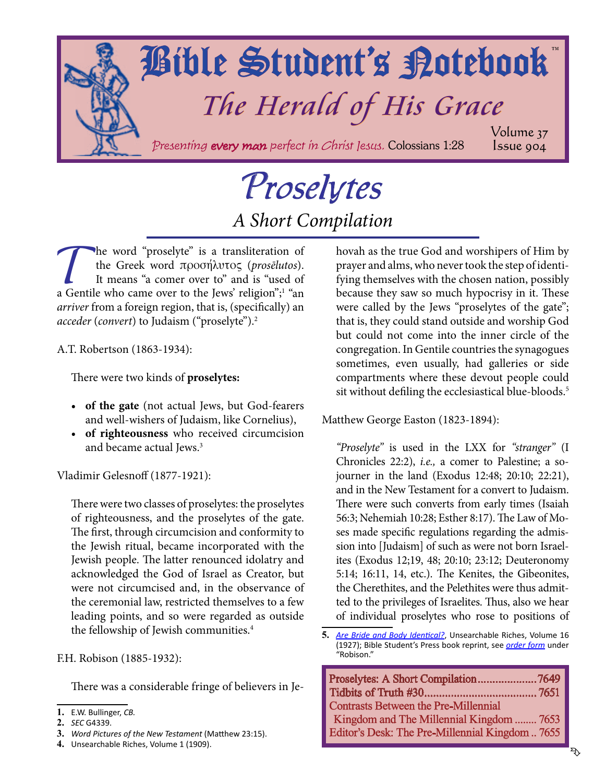<span id="page-0-0"></span>

# Proselytes *A Short Compilation*

The word "proselyte" is a transliteration of<br>the Greek word  $\pi \rho$ oo $\eta \lambda \nu \tau$ o $\zeta$  (*proselutos*).<br>It means "a comer over to" and is "used of<br>a Gentile who came over to the Jews' religion"<sup>1</sup> "an the Greek word προσήλυτος (*prosēlutos*). It means "a comer over to" and is "used of a Gentile who came over to the Jews' religion";<sup>1</sup> "an *arriver* from a foreign region, that is, (specifically) an *acceder* (*convert*) to Judaism ("proselyte").2

A.T. Robertson (1863-1934):

There were two kinds of **proselytes:**

- **• of the gate** (not actual Jews, but God-fearers and well-wishers of Judaism, like Cornelius),
- **• of righteousness** who received circumcision and became actual Jews.<sup>3</sup>

Vladimir Gelesnoff (1877-1921):

There were two classes of proselytes: the proselytes of righteousness, and the proselytes of the gate. The first, through circumcision and conformity to the Jewish ritual, became incorporated with the Jewish people. The latter renounced idolatry and acknowledged the God of Israel as Creator, but were not circumcised and, in the observance of the ceremonial law, restricted themselves to a few leading points, and so were regarded as outside the fellowship of Jewish communities.<sup>4</sup>

F.H. Robison (1885-1932):

There was a considerable fringe of believers in Je-

hovah as the true God and worshipers of Him by prayer and alms, who never took the step of identifying themselves with the chosen nation, possibly because they saw so much hypocrisy in it. These were called by the Jews "proselytes of the gate"; that is, they could stand outside and worship God but could not come into the inner circle of the congregation. In Gentile countries the synagogues sometimes, even usually, had galleries or side compartments where these devout people could sit without defiling the ecclesiastical blue-bloods.<sup>5</sup>

Matthew George Easton (1823-1894):

*"Proselyte"* is used in the LXX for *"stranger"* (I Chronicles 22:2), *i.e.,* a comer to Palestine; a sojourner in the land (Exodus 12:48; 20:10; 22:21), and in the New Testament for a convert to Judaism. There were such converts from early times (Isaiah 56:3; Nehemiah 10:28; Esther 8:17). The Law of Moses made specific regulations regarding the admission into [Judaism] of such as were not born Israelites (Exodus 12;19, 48; 20:10; 23:12; Deuteronomy 5:14; 16:11, 14, etc.). The Kenites, the Gibeonites, the Cherethites, and the Pelethites were thus admitted to the privileges of Israelites. Thus, also we hear of individual proselytes who rose to positions of

**<sup>5.</sup>** *Are [Bride and Body Identical?](http://www.studyshelf.com/robison.htm#2039)*, Unsearchable Riches, Volume 16 (1927); Bible Student's Press book reprint, see *[order form](http://studyshelf.com/orderform-studyshelf.pdf)* under "Robison."

| Proselytes: A Short Compilation7649            |  |
|------------------------------------------------|--|
|                                                |  |
| <b>Contrasts Between the Pre-Millennial</b>    |  |
| Kingdom and The Millennial Kingdom  7653       |  |
| Editor's Desk: The Pre-Millennial Kingdom 7655 |  |

**<sup>1.</sup>** E.W. Bullinger, *CB.*

**<sup>2.</sup>** *SEC* G4339.

**<sup>3.</sup>** *Word Pictures of the New Testament* (Matthew 23:15).

**<sup>4.</sup>** Unsearchable Riches, Volume 1 (1909).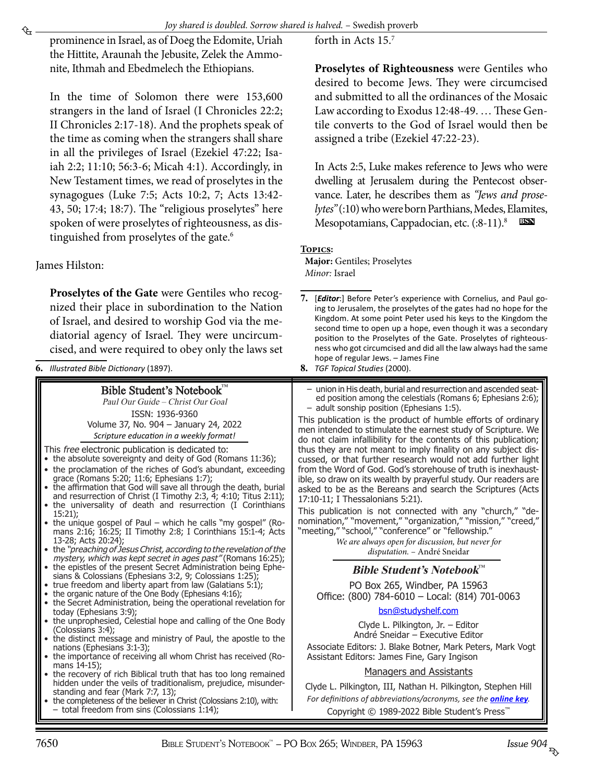<span id="page-1-0"></span>

prominence in Israel, as of Doeg the Edomite, Uriah the Hittite, Araunah the Jebusite, Zelek the Ammonite, Ithmah and Ebedmelech the Ethiopians.

In the time of Solomon there were 153,600 strangers in the land of Israel (I Chronicles 22:2; [II](http://www.biblestudytools.com/1-chronicles/2.html) Chronicles 2:17-18). And the prophets speak of the time as coming when the strangers shall share in all the privileges of Israel (Ezekiel 47:22; Isaiah 2:2; 11:10; 56:3-6; Micah 4:1). Accordingly, in New Testament times, we read of proselytes in the synagogues (Luke 7:5; Acts 10:2, 7; Acts 13:42- 43, 50; 17:4; 18:7). The "religious proselytes" here spoken of were proselytes of righteousness, as distinguished from proselytes of the gate.<sup>6</sup>

James Hilston:

**Proselytes of the Gate** were Gentiles who recognized their place in subordination to the Nation of Israel, and desired to worship God via the mediatorial agency of Israel. They were uncircumcised, and were required to obey only the laws set

**6.** *Illustrated Bible Dictionary* (1897).

Bible Student's Notebook™ Paul Our Guide – Christ Our Goal ISSN: 1936-9360 Volume 37, No. 904 – January 24, 2022

- This free
- $\bullet$  the ab
- the proce
- $\bullet\;$  the affirmation that God will save all through the death, burial and resurrection of Christ (I Timothy 2:3, 4; 4:10; Titus 2:11);
- 15:21);
- mans 2:16; 16:25; II Timothy 2:8; I Corinthians 15:1-4; Acts 13-28;<br>the "*pi*
- the "preaching of Jesus Christ, according to the revelation of the mystery, which was kept secret in ages past" (Romans 16:25);
- • the epistles of the present Secret Administration being Ephe-
- true freedom and liberty apart from law (Galatians 5:1);
- 
- the org<br>the Se • the Secret Administration, being the operational revelation for
- today<br>the un • the unprophesied, Celestial hope and calling of the One Body
- (Colossi)<br>the dist • the distinct message and ministry of Paul, the apostle to the nations<br>the im
- • the importance of receiving all whom Christ has received (Ro $mans$ <br>the re
- the recovery of rich Biblical truth that has too long remained hidden under the veils of traditionalism, prejudice, misunderstanding standing standing and fear the conditioneer of the conditioneer (Mark 7: 7, 13)
- • the completeness of the believer in Christ (Colossians 2:10), with: – total freedom from sins (Colossians 1:14);

forth in Acts 15.7

**Proselytes of Righteousness** were Gentiles who desired to become Jews. They were circumcised and submitted to all the ordinances of the Mosaic Law according to Exodus 12:48-49. … These Gentile converts to the God of Israel would then be assigned a tribe (Ezekiel 47:22-23).

In Acts 2:5, Luke makes reference to Jews who were dwelling at Jerusalem during the Pentecost observance. Later, he describes them as *"Jews and proselytes"* (:10) who were born Parthians, Medes, Elamites, Mesopotamians, Cappadocian, etc. (:8-11).<sup>8</sup> **bsn**

### **Topics:**

**Major:** Gentiles; Proselytes *Minor:* Israel

**8.** *TGF Topical Studies* (2000).

| Bible Student's Notebook™<br>Paul Our Guide – Christ Our Goal<br>ISSN: 1936-9360<br>Volume 37, No. 904 - January 24, 2022<br>Scripture education in a weekly format!<br>This free electronic publication is dedicated to:<br>• the absolute sovereignty and deity of God (Romans 11:36);<br>• the proclamation of the riches of God's abundant, exceeding<br>grace (Romans 5:20; 11:6; Ephesians 1:7);<br>• the affirmation that God will save all through the death, burial<br>and resurrection of Christ (I Timothy 2:3, 4; 4:10; Titus 2:11);<br>• the universality of death and resurrection (I Corinthians<br>$15:21$ :<br>• the unique gospel of Paul – which he calls "my gospel" (Ro-<br>mans 2:16; 16:25; II Timothy 2:8; I Corinthians 15:1-4; Acts<br>13-28; Acts 20:24);<br>• the "preaching of Jesus Christ, according to the revelation of the | - union in His death, burial and resurrection and ascended seat-<br>ed position among the celestials (Romans 6; Ephesians 2:6);<br>- adult sonship position (Ephesians 1:5).<br>This publication is the product of humble efforts of ordinary<br>men intended to stimulate the earnest study of Scripture. We<br>do not claim infallibility for the contents of this publication;<br>thus they are not meant to imply finality on any subject dis-<br>cussed, or that further research would not add further light<br>from the Word of God, God's storehouse of truth is inexhaust-<br>ible, so draw on its wealth by prayerful study. Our readers are<br>asked to be as the Bereans and search the Scriptures (Acts<br>17:10-11; I Thessalonians 5:21).<br>This publication is not connected with any "church," "de-<br>nomination," "movement," "organization," "mission," "creed,"<br>"meeting," "school," "conference" or "fellowship."<br>We are always open for discussion, but never for<br>disputation. - André Sneidar |
|--------------------------------------------------------------------------------------------------------------------------------------------------------------------------------------------------------------------------------------------------------------------------------------------------------------------------------------------------------------------------------------------------------------------------------------------------------------------------------------------------------------------------------------------------------------------------------------------------------------------------------------------------------------------------------------------------------------------------------------------------------------------------------------------------------------------------------------------------------------|---------------------------------------------------------------------------------------------------------------------------------------------------------------------------------------------------------------------------------------------------------------------------------------------------------------------------------------------------------------------------------------------------------------------------------------------------------------------------------------------------------------------------------------------------------------------------------------------------------------------------------------------------------------------------------------------------------------------------------------------------------------------------------------------------------------------------------------------------------------------------------------------------------------------------------------------------------------------------------------------------------------------------------|
| mystery, which was kept secret in ages past" (Romans 16:25);<br>• the epistles of the present Secret Administration being Ephe-<br>sians & Colossians (Ephesians 3:2, 9; Colossians 1:25);<br>• true freedom and liberty apart from law (Galatians 5:1);                                                                                                                                                                                                                                                                                                                                                                                                                                                                                                                                                                                                     | <b>Bible Student's Notebook™</b><br>PO Box 265, Windber, PA 15963                                                                                                                                                                                                                                                                                                                                                                                                                                                                                                                                                                                                                                                                                                                                                                                                                                                                                                                                                               |
| • the organic nature of the One Body (Ephesians 4:16);<br>• the Secret Administration, being the operational revelation for                                                                                                                                                                                                                                                                                                                                                                                                                                                                                                                                                                                                                                                                                                                                  | Office: (800) 784-6010 - Local: (814) 701-0063                                                                                                                                                                                                                                                                                                                                                                                                                                                                                                                                                                                                                                                                                                                                                                                                                                                                                                                                                                                  |
| today (Ephesians 3:9);                                                                                                                                                                                                                                                                                                                                                                                                                                                                                                                                                                                                                                                                                                                                                                                                                                       | bsn@studyshelf.com                                                                                                                                                                                                                                                                                                                                                                                                                                                                                                                                                                                                                                                                                                                                                                                                                                                                                                                                                                                                              |
| • the unprophesied, Celestial hope and calling of the One Body<br>(Colossians 3:4);<br>• the distinct message and ministry of Paul, the apostle to the<br>nations (Ephesians 3:1-3);<br>• the importance of receiving all whom Christ has received (Ro-                                                                                                                                                                                                                                                                                                                                                                                                                                                                                                                                                                                                      | Clyde L. Pilkington, Jr. - Editor<br>André Sneidar - Executive Editor<br>Associate Editors: J. Blake Botner, Mark Peters, Mark Vogt<br>Assistant Editors: James Fine, Gary Ingison                                                                                                                                                                                                                                                                                                                                                                                                                                                                                                                                                                                                                                                                                                                                                                                                                                              |
| mans 14-15);<br>• the recovery of rich Biblical truth that has too long remained                                                                                                                                                                                                                                                                                                                                                                                                                                                                                                                                                                                                                                                                                                                                                                             | Managers and Assistants                                                                                                                                                                                                                                                                                                                                                                                                                                                                                                                                                                                                                                                                                                                                                                                                                                                                                                                                                                                                         |
| hidden under the veils of traditionalism, prejudice, misunder-<br>standing and fear (Mark 7:7, 13);                                                                                                                                                                                                                                                                                                                                                                                                                                                                                                                                                                                                                                                                                                                                                          | Clyde L. Pilkington, III, Nathan H. Pilkington, Stephen Hill                                                                                                                                                                                                                                                                                                                                                                                                                                                                                                                                                                                                                                                                                                                                                                                                                                                                                                                                                                    |
| • the completeness of the believer in Christ (Colossians 2:10), with:                                                                                                                                                                                                                                                                                                                                                                                                                                                                                                                                                                                                                                                                                                                                                                                        | For definitions of abbreviations/acronyms, see the <b>online key</b> .                                                                                                                                                                                                                                                                                                                                                                                                                                                                                                                                                                                                                                                                                                                                                                                                                                                                                                                                                          |
| $-$ total freedom from sins (Colossians 1:14);                                                                                                                                                                                                                                                                                                                                                                                                                                                                                                                                                                                                                                                                                                                                                                                                               | Copyright © 1989-2022 Bible Student's Press <sup>™</sup>                                                                                                                                                                                                                                                                                                                                                                                                                                                                                                                                                                                                                                                                                                                                                                                                                                                                                                                                                                        |

**<sup>7.</sup>** [*Editor*:] Before Peter's experience with Cornelius, and Paul going to Jerusalem, the proselytes of the gates had no hope for the Kingdom. At some point Peter used his keys to the Kingdom the second time to open up a hope, even though it was a secondary position to the Proselytes of the Gate. Proselytes of righteousness who got circumcised and did all the law always had the same hope of regular Jews. – James Fine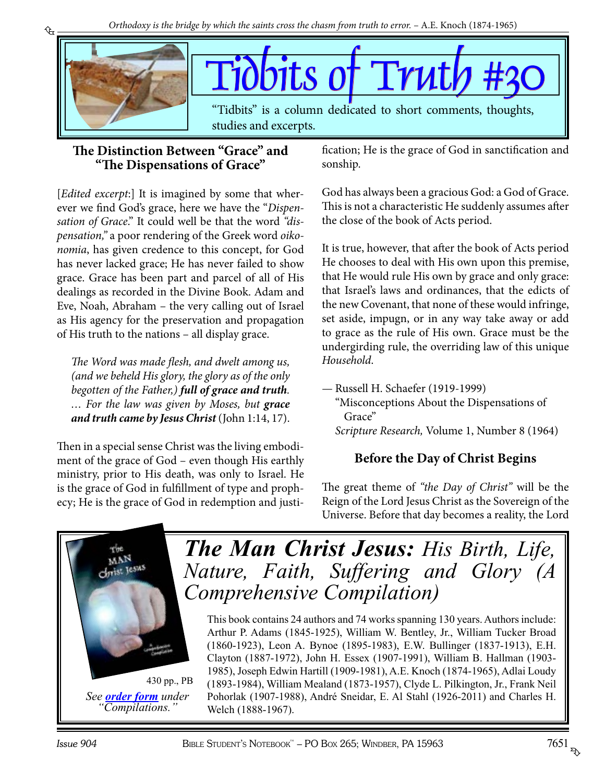<span id="page-2-0"></span>

### **The Distinction Between "Grace" and "The Dispensations of Grace"**

[*Edited excerpt*:] It is imagined by some that wherever we find God's grace, here we have the "*Dispensation of Grace*." It could well be that the word *"dispensation,"* a poor rendering of the Greek word *oikonomia*, has given credence to this concept, for God has never lacked grace; He has never failed to show grace. Grace has been part and parcel of all of His dealings as recorded in the Divine Book. Adam and Eve, Noah, Abraham – the very calling out of Israel as His agency for the preservation and propagation of His truth to the nations – all display grace.

*The Word was made flesh, and dwelt among us, (and we beheld His glory, the glory as of the only begotten of the Father,) full of grace and truth. … For the law was given by Moses, but grace and truth came by Jesus Christ* (John 1:14, 17).

Then in a special sense Christ was the living embodiment of the grace of God – even though His earthly ministry, prior to His death, was only to Israel. He is the grace of God in fulfillment of type and prophecy; He is the grace of God in redemption and justification; He is the grace of God in sanctification and sonship.

God has always been a gracious God: a God of Grace. This is not a characteristic He suddenly assumes after the close of the book of Acts period.

It is true, however, that after the book of Acts period He chooses to deal with His own upon this premise, that He would rule His own by grace and only grace: that Israel's laws and ordinances, that the edicts of the new Covenant, that none of these would infringe, set aside, impugn, or in any way take away or add to grace as the rule of His own. Grace must be the undergirding rule, the overriding law of this unique *Household*.

— Russell H. Schaefer (1919-1999) "Misconceptions About the Dispensations of Grace" *Scripture Research,* Volume 1, Number 8 (1964)

### **Before the Day of Christ Begins**

The great theme of *"the Day of Christ"* will be the Reign of the Lord Jesus Christ as the Sovereign of the Universe. Before that day becomes a reality, the Lord



*See [order form](http://studyshelf.com/orderform-studyshelf.pdf) under "Compilations."*

*The Man Christ Jesus: His Birth, Life, [Nature, Faith, Suffering and Glory \(A](http://www.studyshelf.com/jesus.htm#3332)  Comprehensive Compilation)*

This book contains 24 authors and 74 works spanning 130 years. Authors include: Arthur P. Adams (1845-1925), William W. Bentley, Jr., William Tucker Broad (1860-1923), Leon A. Bynoe (1895-1983), E.W. Bullinger (1837-1913), E.H. Clayton (1887-1972), John H. Essex (1907-1991), William B. Hallman (1903- 1985), Joseph Edwin Hartill (1909-1981), A.E. Knoch (1874-1965), Adlai Loudy (1893-1984), William Mealand (1873-1957), Clyde L. Pilkington, Jr., Frank Neil Pohorlak (1907-1988), André Sneidar, E. Al Stahl (1926-2011) and Charles H. Welch (1888-1967).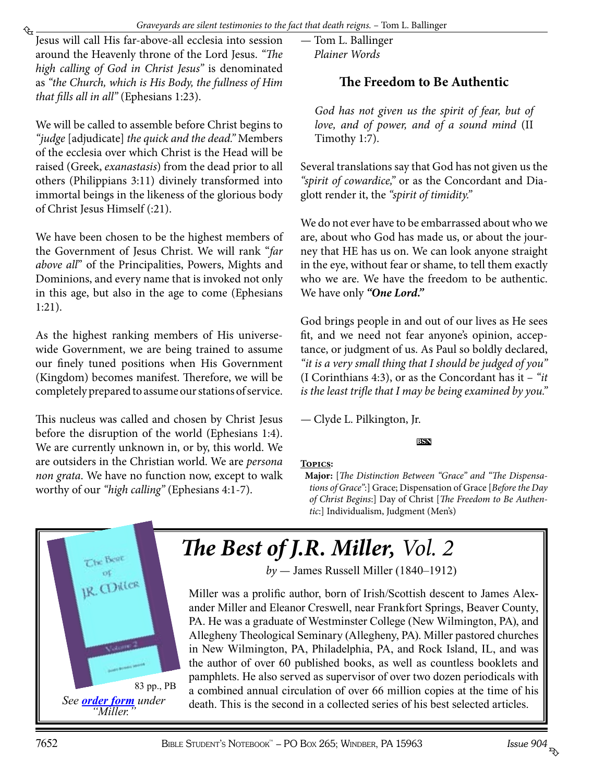*Graveyards are silent testimonies to the fact that death reigns.* – Tom L. Ballinger

<span id="page-3-0"></span>₠ Jesus will call His far-above-all ecclesia into session around the Heavenly throne of the Lord Jesus. *"The high calling of God in Christ Jesus"* is denominated as *"the Church, which is His Body, the fullness of Him that fills all in all"* (Ephesians 1:23).

We will be called to assemble before Christ begins to *"judge* [adjudicate] *the quick and the dead."* Members of the ecclesia over which Christ is the Head will be raised (Greek, *exanastasis*) from the dead prior to all others (Philippians 3:11) divinely transformed into immortal beings in the likeness of the glorious body of Christ Jesus Himself (:21).

We have been chosen to be the highest members of the Government of Jesus Christ. We will rank "*far above all*" of the Principalities, Powers, Mights and Dominions, and every name that is invoked not only in this age, but also in the age to come (Ephesians 1:21).

As the highest ranking members of His universewide Government, we are being trained to assume our finely tuned positions when His Government (Kingdom) becomes manifest. Therefore, we will be completely prepared to assume our stations of service.

This nucleus was called and chosen by Christ Jesus before the disruption of the world (Ephesians 1:4). We are currently unknown in, or by, this world. We are outsiders in the Christian world. We are *persona non grata*. We have no function now, except to walk worthy of our *"high calling"* (Ephesians 4:1-7).

— Tom L. Ballinger *Plainer Words*

### **The Freedom to Be Authentic**

*God has not given us the spirit of fear, but of love, and of power, and of a sound mind* (II Timothy 1:7).

Several translations say that God has not given us the *"spirit of cowardice,"* or as the Concordant and Diaglott render it, the *"spirit of timidity."*

We do not ever have to be embarrassed about who we are, about who God has made us, or about the journey that HE has us on. We can look anyone straight in the eye, without fear or shame, to tell them exactly who we are. We have the freedom to be authentic. We have only *"One Lord."*

God brings people in and out of our lives as He sees fit, and we need not fear anyone's opinion, acceptance, or judgment of us. As Paul so boldly declared, *"it is a very small thing that I should be judged of you"* (I Corinthians 4:3), or as the Concordant has it – *"it is the least trifle that I may be being examined by you."*

— Clyde L. Pilkington, Jr.

### **bsn**

### **Topics:**

**Major:** [*The Distinction Between "Grace" and "The Dispensations of Grace"*:] Grace; Dispensation of Grace [*Before the Day of Christ Begins*:] Day of Christ [*The Freedom to Be Authentic*:] Individualism, Judgment (Men's)



*[The Best of J.R. Miller,](http://www.studyshelf.com/miller.htm#9007) Vol. 2*

*by* — James Russell Miller (1840–1912)

Miller was a prolific author, born of Irish/Scottish descent to James Alexander Miller and Eleanor Creswell, near Frankfort Springs, Beaver County, PA. He was a graduate of Westminster College (New Wilmington, PA), and Allegheny Theological Seminary (Allegheny, PA). Miller pastored churches in New Wilmington, PA, Philadelphia, PA, and Rock Island, IL, and was the author of over 60 published books, as well as countless booklets and pamphlets. He also served as supervisor of over two dozen periodicals with a combined annual circulation of over 66 million copies at the time of his death. This is the second in a collected series of his best selected articles.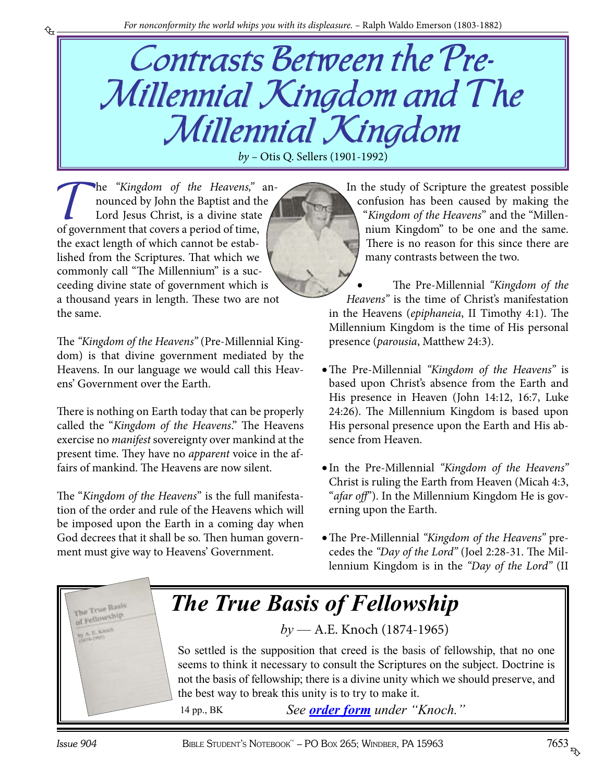# Contrasts Between the Pre-Millennial Kingdom and The Millennial Kingdom

*by –* Otis Q. Sellers (1901-1992)

The *"Kingdom of the Heavens,"* an-<br>nounced by John the Baptist and the<br>Lord Jesus Christ, is a divine state nounced by John the Baptist and the Lord Jesus Christ, is a divine state of government that covers a period of time, the exact length of which cannot be established from the Scriptures. That which we commonly call "The Millennium" is a succeeding divine state of government which is a thousand years in length. These two are not the same.

<span id="page-4-0"></span>₠

The *"Kingdom of the Heavens"* (Pre-Millennial Kingdom) is that divine government mediated by the Heavens. In our language we would call this Heavens' Government over the Earth.

There is nothing on Earth today that can be properly called the "*Kingdom of the Heavens*." The Heavens exercise no *manifest* sovereignty over mankind at the present time. They have no *apparent* voice in the affairs of mankind. The Heavens are now silent.

The "*Kingdom of the Heavens*" is the full manifestation of the order and rule of the Heavens which will be imposed upon the Earth in a coming day when God decrees that it shall be so. Then human government must give way to Heavens' Government.

In the study of Scripture the greatest possible confusion has been caused by making the "*Kingdom of the Heavens*" and the "Millennium Kingdom" to be one and the same. There is no reason for this since there are many contrasts between the two.

The Pre-Millennial *"Kingdom of the Heavens"* is the time of Christ's manifestation in the Heavens (*epiphaneia*, II Timothy 4:1). The Millennium Kingdom is the time of His personal presence (*parousia*, Matthew 24:3).

- • The Pre-Millennial *"Kingdom of the Heavens"* is based upon Christ's absence from the Earth and His presence in Heaven (John 14:12, 16:7, Luke 24:26). The Millennium Kingdom is based upon His personal presence upon the Earth and His absence from Heaven.
- • In the Pre-Millennial *"Kingdom of the Heavens"* Christ is ruling the Earth from Heaven (Micah 4:3, "*afar off*"). In the Millennium Kingdom He is governing upon the Earth.
- • The Pre-Millennial *"Kingdom of the Heavens"* precedes the *"Day of the Lord"* (Joel 2:28-31. The Millennium Kingdom is in the *"Day of the Lord"* (II

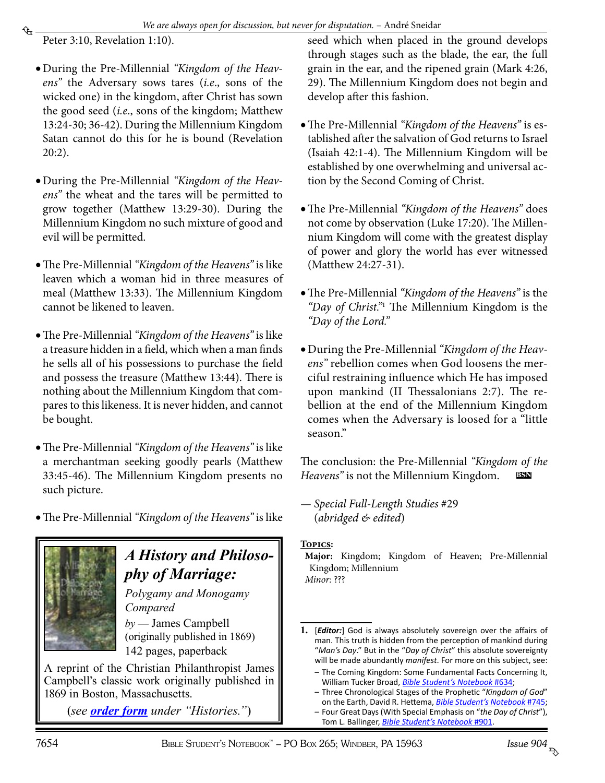<span id="page-5-0"></span>Peter 3:10, Revelation 1:10).

- • During the Pre-Millennial *"Kingdom of the Heavens"* the Adversary sows tares (*i.e*., sons of the wicked one) in the kingdom, after Christ has sown the good seed (*i.e*., sons of the kingdom; Matthew 13:24-30; 36-42). During the Millennium Kingdom Satan cannot do this for he is bound (Revelation 20:2).
- • During the Pre-Millennial *"Kingdom of the Heavens"* the wheat and the tares will be permitted to grow together (Matthew 13:29-30). During the Millennium Kingdom no such mixture of good and evil will be permitted.
- • The Pre-Millennial *"Kingdom of the Heavens"* is like leaven which a woman hid in three measures of meal (Matthew 13:33). The Millennium Kingdom cannot be likened to leaven.
- The Pre-Millennial *"Kingdom of the Heavens"* is like a treasure hidden in a field, which when a man finds he sells all of his possessions to purchase the field and possess the treasure (Matthew 13:44). There is nothing about the Millennium Kingdom that compares to this likeness. It is never hidden, and cannot be bought.
- • The Pre-Millennial *"Kingdom of the Heavens"* is like a merchantman seeking goodly pearls (Matthew 33:45-46). The Millennium Kingdom presents no such picture.
- • The Pre-Millennial *"Kingdom of the Heavens"* is like



### *A History and Philosophy of Marriage:*

*Polygamy and Monogamy Compared by* — James Campbell

(originally published in 1869) 142 pages, paperback

A reprint of the Christian Philanthropist James [Campbell's classic work originally published in](http://www.patriarchpublishinghouse.com/pphbooks.htm)  1869 in Boston, Massachusetts.

(*see [order form](http://studyshelf.com/orderform-studyshelf.pdf) under "Histories."*)

seed which when placed in the ground develops through stages such as the blade, the ear, the full grain in the ear, and the ripened grain (Mark 4:26, 29). The Millennium Kingdom does not begin and develop after this fashion.

- • The Pre-Millennial *"Kingdom of the Heavens"* is established after the salvation of God returns to Israel (Isaiah 42:1-4). The Millennium Kingdom will be established by one overwhelming and universal action by the Second Coming of Christ.
- The Pre-Millennial *"Kingdom of the Heavens"* does not come by observation (Luke 17:20). The Millennium Kingdom will come with the greatest display of power and glory the world has ever witnessed (Matthew 24:27-31).
- • The Pre-Millennial *"Kingdom of the Heavens"* is the *"Day of Christ."*<sup>1</sup> The Millennium Kingdom is the *"Day of the Lord."*
- • During the Pre-Millennial *"Kingdom of the Heavens"* rebellion comes when God loosens the merciful restraining influence which He has imposed upon mankind (II Thessalonians 2:7). The rebellion at the end of the Millennium Kingdom comes when the Adversary is loosed for a "little season."

The conclusion: the Pre-Millennial *"Kingdom of the Heavens"* is not the Millennium Kingdom. **bsn**

— *Special Full-Length Studies* #29 (*abridged & edited*)

### **Topics:**

**Major:** Kingdom; Kingdom of Heaven; Pre-Millennial Kingdom; Millennium *Minor:* ???

- *–* The Coming Kingdom: Some Fundamental Facts Concerning It, William Tucker Broad, *[Bible Student's Notebook](http://www.biblestudentsnotebook.com/bsn634.pdf)* #634;
- *–* Three Chronological Stages of the Prophetic "*Kingdom of God*" on the Earth, David R. Hettema, *[Bible Student's Notebook](http://www.biblestudentsnotebook.com/bsn745.pdf)* #745;
- *–* Four Great Days (With Special Emphasis on "*the Day of Christ*"), Tom L. Ballinger, *[Bible Student's Notebook](http://www.biblestudentsnotebook.com/bsn901.pdf)* #901.

**<sup>1.</sup>** [*Editor:*] God is always absolutely sovereign over the affairs of man. This truth is hidden from the perception of mankind during "*Man's Day*." But in the "*Day of Christ*" this absolute sovereignty will be made abundantly *manifest*. For more on this subject, see: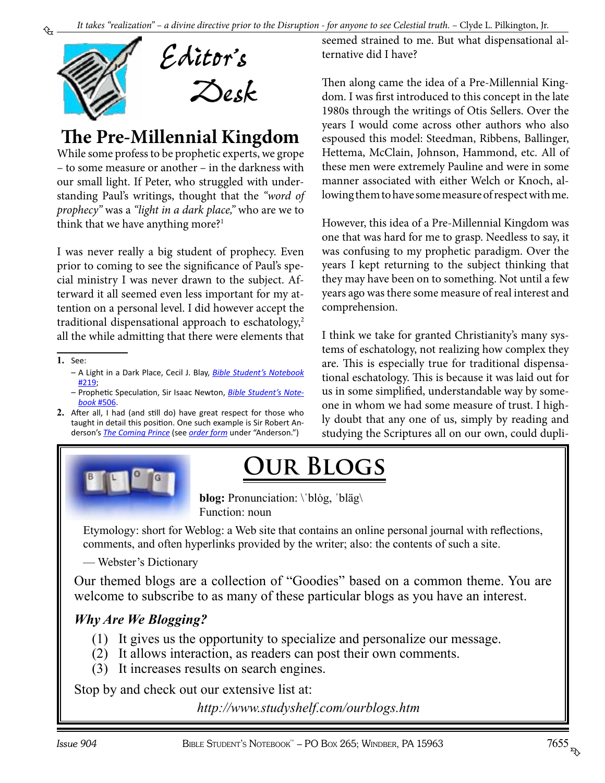<span id="page-6-0"></span>

## **The Pre-Millennial Kingdom**

While some profess to be prophetic experts, we grope – to some measure or another – in the darkness with our small light. If Peter, who struggled with understanding Paul's writings, thought that the *"word of prophecy"* was a *"light in a dark place,"* who are we to think that we have anything more?<sup>1</sup>

I was never really a big student of prophecy. Even prior to coming to see the significance of Paul's special ministry I was never drawn to the subject. Afterward it all seemed even less important for my attention on a personal level. I did however accept the traditional dispensational approach to eschatology,<sup>2</sup> all the while admitting that there were elements that

**1.** See:

- *–* A Light in a Dark Place, Cecil J. Blay, *[Bible Student's Notebook](http://www.biblestudentsnotebook.com/bsn219.pdf)* [#219](http://www.biblestudentsnotebook.com/bsn219.pdf);
- *–* Prophetic Speculation, Sir Isaac Newton, *[Bible Student's Note](http://www.biblestudentsnotebook.com/bsn506.pdf)book* [#506](http://www.biblestudentsnotebook.com/bsn506.pdf).
- **2.** After all, I had (and still do) have great respect for those who taught in detail this position. One such example is Sir Robert Anderson's *[The Coming Prince](http://www.studyshelf.com/AndersonBooks.htm#4112)* (see *[order form](http://studyshelf.com/orderform-studyshelf.pdf)* under "Anderson.")



seemed strained to me. But what dispensational alternative did I have?

Then along came the idea of a Pre-Millennial Kingdom. I was first introduced to this concept in the late 1980s through the writings of Otis Sellers. Over the years I would come across other authors who also espoused this model: Steedman, Ribbens, Ballinger, Hettema, McClain, Johnson, Hammond, etc. All of these men were extremely Pauline and were in some manner associated with either Welch or Knoch, allowing them to have some measure of respect with me.

However, this idea of a Pre-Millennial Kingdom was one that was hard for me to grasp. Needless to say, it was confusing to my prophetic paradigm. Over the years I kept returning to the subject thinking that they may have been on to something. Not until a few years ago was there some measure of real interest and comprehension.

I think we take for granted Christianity's many systems of eschatology, not realizing how complex they are. This is especially true for traditional dispensational eschatology. This is because it was laid out for us in some simplified, understandable way by someone in whom we had some measure of trust. I highly doubt that any one of us, simply by reading and studying the Scriptures all on our own, could dupli-

# **Our Blogs**

**blog:** Pronunciation: \'blog, 'bläg\ Function: noun

Etymology: short for Weblog: a Web site that contains an online personal journal with reflections, comments, and often hyperlinks provided by the writer; also: the contents of such a site.

— Webster's Dictionary

[Our themed blogs are a collection of "Goodies" based on a common theme. You are](http://www.studyshelf.com/ourblogs.htm)  welcome to subscribe to as many of these particular blogs as you have an interest.

### *Why Are We Blogging?*

- (1) It gives us the opportunity to specialize and personalize our message.
- (2) It allows interaction, as readers can post their own comments.
- (3) It increases results on search engines.

Stop by and check out our extensive list at:

*http://www.studyshelf.com/ourblogs.htm*